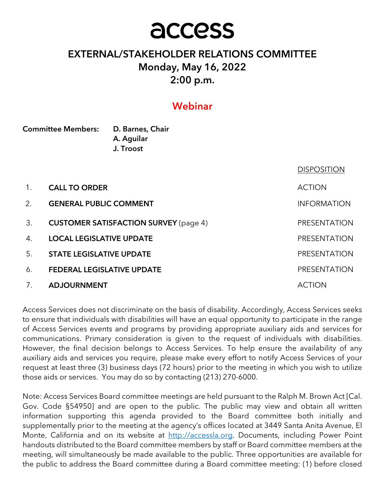# access

# EXTERNAL/STAKEHOLDER RELATIONS COMMITTEE Monday, May 16, 2022 2:00 p.m.

# Webinar

| <b>Committee Members:</b> |                                   | D. Barnes, Chair<br>A. Aguilar<br>J. Troost  |                     |  |
|---------------------------|-----------------------------------|----------------------------------------------|---------------------|--|
|                           |                                   |                                              | <b>DISPOSITION</b>  |  |
| 1.                        | <b>CALL TO ORDER</b>              |                                              | <b>ACTION</b>       |  |
| 2.                        | <b>GENERAL PUBLIC COMMENT</b>     |                                              | <b>INFORMATION</b>  |  |
| 3.                        |                                   | <b>CUSTOMER SATISFACTION SURVEY (page 4)</b> | PRESENTATION        |  |
| 4.                        | <b>LOCAL LEGISLATIVE UPDATE</b>   |                                              | <b>PRESENTATION</b> |  |
| 5.                        | <b>STATE LEGISLATIVE UPDATE</b>   |                                              | PRESENTATION        |  |
| 6.                        | <b>FEDERAL LEGISLATIVE UPDATE</b> |                                              | PRESENTATION        |  |
| 7.                        | <b>ADJOURNMENT</b>                |                                              | <b>ACTION</b>       |  |

Access Services does not discriminate on the basis of disability. Accordingly, Access Services seeks to ensure that individuals with disabilities will have an equal opportunity to participate in the range of Access Services events and programs by providing appropriate auxiliary aids and services for communications. Primary consideration is given to the request of individuals with disabilities. However, the final decision belongs to Access Services. To help ensure the availability of any auxiliary aids and services you require, please make every effort to notify Access Services of your request at least three (3) business days (72 hours) prior to the meeting in which you wish to utilize those aids or services. You may do so by contacting (213) 270-6000.

Note: Access Services Board committee meetings are held pursuant to the Ralph M. Brown Act [Cal. Gov. Code §54950] and are open to the public. The public may view and obtain all written information supporting this agenda provided to the Board committee both initially and supplementally prior to the meeting at the agency's offices located at 3449 Santa Anita Avenue, El Monte, California and on its website at http://accessla.org. Documents, including Power Point handouts distributed to the Board committee members by staff or Board committee members at the meeting, will simultaneously be made available to the public. Three opportunities are available for the public to address the Board committee during a Board committee meeting: (1) before closed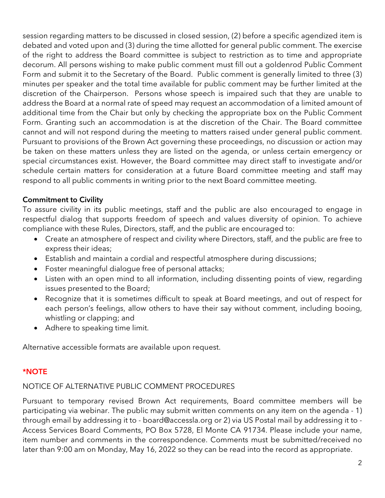session regarding matters to be discussed in closed session, (2) before a specific agendized item is debated and voted upon and (3) during the time allotted for general public comment. The exercise of the right to address the Board committee is subject to restriction as to time and appropriate decorum. All persons wishing to make public comment must fill out a goldenrod Public Comment Form and submit it to the Secretary of the Board. Public comment is generally limited to three (3) minutes per speaker and the total time available for public comment may be further limited at the discretion of the Chairperson. Persons whose speech is impaired such that they are unable to address the Board at a normal rate of speed may request an accommodation of a limited amount of additional time from the Chair but only by checking the appropriate box on the Public Comment Form. Granting such an accommodation is at the discretion of the Chair. The Board committee cannot and will not respond during the meeting to matters raised under general public comment. Pursuant to provisions of the Brown Act governing these proceedings, no discussion or action may be taken on these matters unless they are listed on the agenda, or unless certain emergency or special circumstances exist. However, the Board committee may direct staff to investigate and/or schedule certain matters for consideration at a future Board committee meeting and staff may respond to all public comments in writing prior to the next Board committee meeting.

## Commitment to Civility

To assure civility in its public meetings, staff and the public are also encouraged to engage in respectful dialog that supports freedom of speech and values diversity of opinion. To achieve compliance with these Rules, Directors, staff, and the public are encouraged to:

- Create an atmosphere of respect and civility where Directors, staff, and the public are free to express their ideas;
- Establish and maintain a cordial and respectful atmosphere during discussions;
- Foster meaningful dialogue free of personal attacks;
- Listen with an open mind to all information, including dissenting points of view, regarding issues presented to the Board;
- Recognize that it is sometimes difficult to speak at Board meetings, and out of respect for each person's feelings, allow others to have their say without comment, including booing, whistling or clapping; and
- Adhere to speaking time limit.

Alternative accessible formats are available upon request.

## \*NOTE

## NOTICE OF ALTERNATIVE PUBLIC COMMENT PROCEDURES

Pursuant to temporary revised Brown Act requirements, Board committee members will be participating via webinar. The public may submit written comments on any item on the agenda - 1) through email by addressing it to - board@accessla.org or 2) via US Postal mail by addressing it to - Access Services Board Comments, PO Box 5728, El Monte CA 91734. Please include your name, item number and comments in the correspondence. Comments must be submitted/received no later than 9:00 am on Monday, May 16, 2022 so they can be read into the record as appropriate.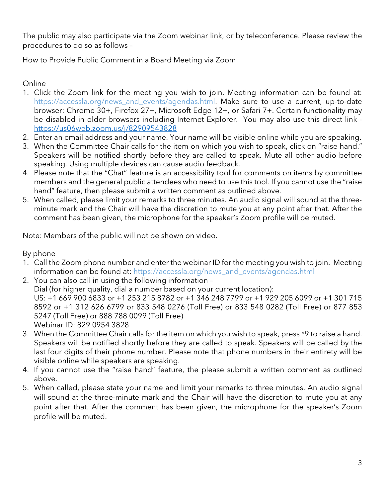The public may also participate via the Zoom webinar link, or by teleconference. Please review the procedures to do so as follows –

How to Provide Public Comment in a Board Meeting via Zoom

Online

- 1. Click the Zoom link for the meeting you wish to join. Meeting information can be found at: https://accessla.org/news\_and\_events/agendas.html. Make sure to use a current, up-to-date browser: Chrome 30+, Firefox 27+, Microsoft Edge 12+, or Safari 7+. Certain functionality may be disabled in older browsers including Internet Explorer. You may also use this direct link https://us06web.zoom.us/j/82909543828
- 2. Enter an email address and your name. Your name will be visible online while you are speaking.
- 3. When the Committee Chair calls for the item on which you wish to speak, click on "raise hand." Speakers will be notified shortly before they are called to speak. Mute all other audio before speaking. Using multiple devices can cause audio feedback.
- 4. Please note that the "Chat" feature is an accessibility tool for comments on items by committee members and the general public attendees who need to use this tool. If you cannot use the "raise hand" feature, then please submit a written comment as outlined above.
- 5. When called, please limit your remarks to three minutes. An audio signal will sound at the threeminute mark and the Chair will have the discretion to mute you at any point after that. After the comment has been given, the microphone for the speaker's Zoom profile will be muted.

Note: Members of the public will not be shown on video.

By phone

- 1. Call the Zoom phone number and enter the webinar ID for the meeting you wish to join. Meeting information can be found at: https://accessla.org/news\_and\_events/agendas.html
- 2. You can also call in using the following information Dial (for higher quality, dial a number based on your current location): US: +1 669 900 6833 or +1 253 215 8782 or +1 346 248 7799 or +1 929 205 6099 or +1 301 715 8592 or +1 312 626 6799 or 833 548 0276 (Toll Free) or 833 548 0282 (Toll Free) or 877 853 5247 (Toll Free) or 888 788 0099 (Toll Free) Webinar ID: 829 0954 3828
- 3. When the Committee Chair calls for the item on which you wish to speak, press \*9 to raise a hand. Speakers will be notified shortly before they are called to speak. Speakers will be called by the last four digits of their phone number. Please note that phone numbers in their entirety will be visible online while speakers are speaking.
- 4. If you cannot use the "raise hand" feature, the please submit a written comment as outlined above.
- 5. When called, please state your name and limit your remarks to three minutes. An audio signal will sound at the three-minute mark and the Chair will have the discretion to mute you at any point after that. After the comment has been given, the microphone for the speaker's Zoom profile will be muted.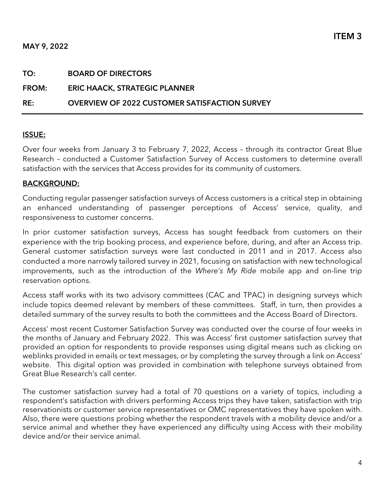#### MAY 9, 2022

| RE:          | <b>OVERVIEW OF 2022 CUSTOMER SATISFACTION SURVEY</b> |
|--------------|------------------------------------------------------|
| <b>FROM:</b> | <b>ERIC HAACK, STRATEGIC PLANNER</b>                 |
| TO:          | <b>BOARD OF DIRECTORS</b>                            |
|              |                                                      |

#### ISSUE:

Over four weeks from January 3 to February 7, 2022, Access – through its contractor Great Blue Research – conducted a Customer Satisfaction Survey of Access customers to determine overall satisfaction with the services that Access provides for its community of customers.

#### BACKGROUND:

Conducting regular passenger satisfaction surveys of Access customers is a critical step in obtaining an enhanced understanding of passenger perceptions of Access' service, quality, and responsiveness to customer concerns.

In prior customer satisfaction surveys, Access has sought feedback from customers on their experience with the trip booking process, and experience before, during, and after an Access trip. General customer satisfaction surveys were last conducted in 2011 and in 2017. Access also conducted a more narrowly tailored survey in 2021, focusing on satisfaction with new technological improvements, such as the introduction of the Where's My Ride mobile app and on-line trip reservation options.

Access staff works with its two advisory committees (CAC and TPAC) in designing surveys which include topics deemed relevant by members of these committees. Staff, in turn, then provides a detailed summary of the survey results to both the committees and the Access Board of Directors.

Access' most recent Customer Satisfaction Survey was conducted over the course of four weeks in the months of January and February 2022. This was Access' first customer satisfaction survey that provided an option for respondents to provide responses using digital means such as clicking on weblinks provided in emails or text messages, or by completing the survey through a link on Access' website. This digital option was provided in combination with telephone surveys obtained from Great Blue Research's call center.

The customer satisfaction survey had a total of 70 questions on a variety of topics, including a respondent's satisfaction with drivers performing Access trips they have taken, satisfaction with trip reservationists or customer service representatives or OMC representatives they have spoken with. Also, there were questions probing whether the respondent travels with a mobility device and/or a service animal and whether they have experienced any difficulty using Access with their mobility device and/or their service animal.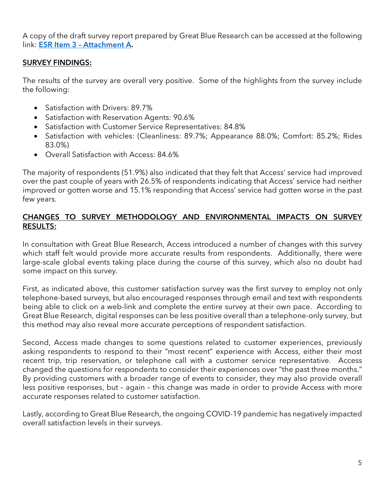A copy of the draft survey report prepared by Great Blue Research can be accessed at the following link: [ESR Item 3 – Attachment A.](https://www.dropbox.com/s/rmsgwrxx2asyc14/2022%20Customer%20Satisfaction%20Survey.pdf?dl=0) 

#### SURVEY FINDINGS:

The results of the survey are overall very positive. Some of the highlights from the survey include the following:

- Satisfaction with Drivers: 89.7%
- Satisfaction with Reservation Agents: 90.6%
- Satisfaction with Customer Service Representatives: 84.8%
- Satisfaction with vehicles: (Cleanliness: 89.7%; Appearance 88.0%; Comfort: 85.2%; Rides 83.0%)
- Overall Satisfaction with Access: 84.6%

The majority of respondents (51.9%) also indicated that they felt that Access' service had improved over the past couple of years with 26.5% of respondents indicating that Access' service had neither improved or gotten worse and 15.1% responding that Access' service had gotten worse in the past few years.

#### CHANGES TO SURVEY METHODOLOGY AND ENVIRONMENTAL IMPACTS ON SURVEY RESULTS:

In consultation with Great Blue Research, Access introduced a number of changes with this survey which staff felt would provide more accurate results from respondents. Additionally, there were large-scale global events taking place during the course of this survey, which also no doubt had some impact on this survey.

First, as indicated above, this customer satisfaction survey was the first survey to employ not only telephone-based surveys, but also encouraged responses through email and text with respondents being able to click on a web-link and complete the entire survey at their own pace. According to Great Blue Research, digital responses can be less positive overall than a telephone-only survey, but this method may also reveal more accurate perceptions of respondent satisfaction.

Second, Access made changes to some questions related to customer experiences, previously asking respondents to respond to their "most recent" experience with Access, either their most recent trip, trip reservation, or telephone call with a customer service representative. Access changed the questions for respondents to consider their experiences over "the past three months." By providing customers with a broader range of events to consider, they may also provide overall less positive responses, but – again – this change was made in order to provide Access with more accurate responses related to customer satisfaction.

Lastly, according to Great Blue Research, the ongoing COVID-19 pandemic has negatively impacted overall satisfaction levels in their surveys.